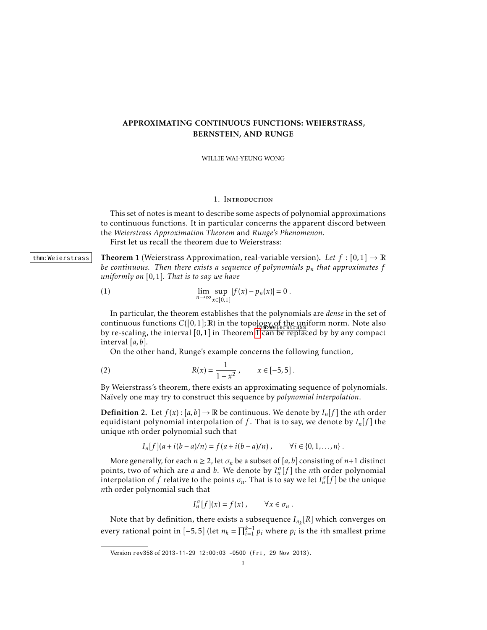# APPROXIMATING CONTINUOUS FUNCTIONS: WEIERSTRASS, BERNSTEIN, AND RUNGE

WILLIE WAI-YEUNG WONG

## 1. Introduction

This set of notes is meant to describe some aspects of polynomial approximations to continuous functions. It in particular concerns the apparent discord between the *Weierstrass Approximation Theorem* and *Runge's Phenomenon*. First let us recall the theorem due to Weierstrass:

thm:Weierstrass Theorem 1 (Weierstrass Approximation, real-variable version). Let  $f : [0,1] \to \mathbb{R}$ *be continuous. Then there exists a sequence of polynomials*  $p_n$  *that approximates*  $f$ *uniformly on* [0*,*1]*. That is to say we have*

<span id="page-0-0"></span>(1) 
$$
\lim_{n \to \infty} \sup_{x \in [0,1]} |f(x) - p_n(x)| = 0.
$$

In particular, the theorem establishes that the polynomials are *dense* in the set of continuous functions  $C([0,1];\mathbb{R})$  in the topology of the uniform norm. Note also by re-scaling, the interval [0, [1](#page-0-0)] in Theorem **IT can be replaced by by any compact** interval [*a,b*].

On the other hand, Runge's example concerns the following function,

(2) 
$$
R(x) = \frac{1}{1 + x^2}, \qquad x \in [-5, 5].
$$

By Weierstrass's theorem, there exists an approximating sequence of polynomials. Naïvely one may try to construct this sequence by *polynomial interpolation*.

**Definition** 2. Let  $f(x): [a, b] \to \mathbb{R}$  be continuous. We denote by  $I_n[f]$  the *n*th order equidistant polynomial interpolation of  $f$ . That is to say, we denote by  $I_n[f]$  the unique *n*th order polynomial such that

$$
I_n[f](a + i(b - a)/n) = f(a + i(b - a)/n), \qquad \forall i \in \{0, 1, ..., n\}.
$$

More generally, for each  $n \geq 2$ , let  $\sigma_n$  be a subset of [a, b] consisting of  $n+1$  distinct points, two of which are *a* and *b*. We denote by *I*<sup>*n*</sup><sub>*n*</sub></sub>[*f*] the *n*th order polynomial interpolation of *f* relative to the points  $\sigma_n$ . That is to say we let  $I_n^{\sigma}[f]$  be the unique *n*th order polynomial such that

$$
I_n^{\sigma}[f](x) = f(x) , \qquad \forall x \in \sigma_n .
$$

Note that by definition, there exists a subsequence *In<sup>k</sup>* [*R*] which converges on every rational point in  $[-5, 5]$  (let  $n_k = \prod_{i=1}^{k+1} p_i$  where  $p_i$  is the *i*th smallest prime

Version rev358 of 2013-11-29 12:00:03 -0500 (Fri, 29 Nov 2013).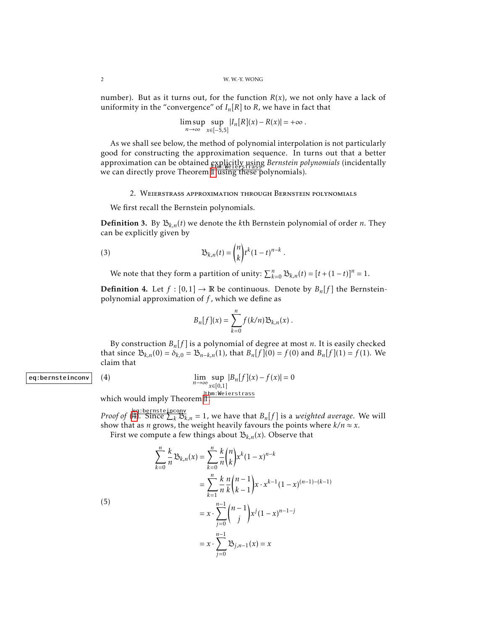number). But as it turns out, for the function  $R(x)$ , we not only have a lack of uniformity in the "convergence" of  $I_n[R]$  to  $R$ , we have in fact that

$$
\limsup_{n\to\infty}\sup_{x\in[-5,5]}|I_n[R](x)-R(x)|=+\infty.
$$

As we shall see below, the method of polynomial interpolation is not particularly good for constructing the approximation sequence. In turns out that a better approximation can be obtained explicitly using *Bernstein polynomials* (incidentally we can directly prove Theorem [1](#page-0-0) using these polynomials).

## 2. Weierstrass approximation through Bernstein polynomials

We first recall the Bernstein polynomials.

**Definition 3.** By  $\mathcal{B}_{k,n}(t)$  we denote the *k*th Bernstein polynomial of order *n*. They can be explicitly given by

(3) 
$$
\mathfrak{B}_{k,n}(t) = \binom{n}{k} t^k (1-t)^{n-k}.
$$

We note that they form a partition of unity:  $\sum_{k=0}^{n} \mathfrak{B}_{k,n}(t) = [t + (1-t)]^n = 1$ .

**Definition 4.** Let  $f : [0,1] \to \mathbb{R}$  be continuous. Denote by  $B_n[f]$  the Bernsteinpolynomial approximation of *f* , which we define as

$$
B_n[f](x) = \sum_{k=0}^n f(k/n) \mathfrak{B}_{k,n}(x) .
$$

By construction  $B_n[f]$  is a polynomial of degree at most *n*. It is easily checked that since  $\mathfrak{B}_{k,n}(0) = \delta_{k,0} = \mathfrak{B}_{n-k,n}(1)$ , that  $B_n[f](0) = f(0)$  and  $B_n[f](1) = f(1)$ . We claim that

### eq:bernsteinconv | (4)

<span id="page-1-0"></span>
$$
\lim_{n \to \infty} \sup_{x \in [0,1]} |B_n[f](x) - f(x)| = 0
$$

which would imply Theorem II.

*Proof of*  $\left(\frac{\log\left(\frac{1}{2}\right)}{H}\right)$ . Since  $\sum_k \mathcal{B}_{k,n} = 1$ , we have that  $B_n[f]$  is a *weighted average*. We will show that as *n* grows, the weight heavily favours the points where  $k/n \approx x$ .

First we compute a few things about  $\mathcal{B}_{k,n}(x)$ . Observe that

(5)  
\n
$$
\sum_{k=0}^{n} \frac{k}{n} B_{k,n}(x) = \sum_{k=0}^{n} \frac{k}{n} {n \choose k} x^{k} (1-x)^{n-k}
$$
\n
$$
= \sum_{k=1}^{n} \frac{k}{n} \frac{n}{k} {n-1 \choose k-1} x \cdot x^{k-1} (1-x)^{(n-1)-(k-1)}
$$
\n
$$
= x \cdot \sum_{j=0}^{n-1} {n-1 \choose j} x^{j} (1-x)^{n-1-j}
$$
\n
$$
= x \cdot \sum_{j=0}^{n-1} B_{j,n-1}(x) = x
$$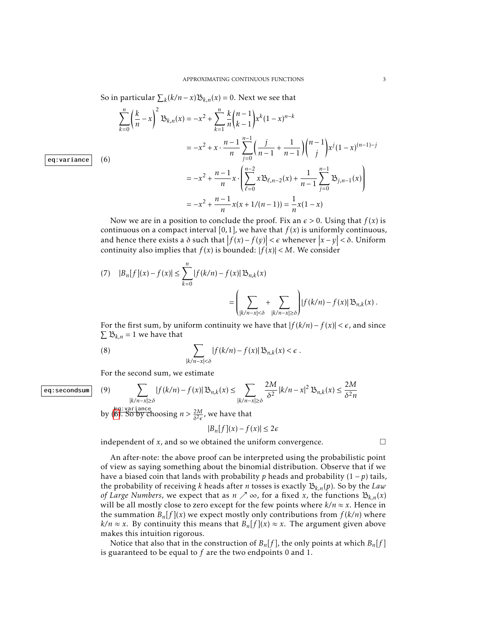So in particular  $\sum_{k} (k/n - x) \mathfrak{B}_{k,n}(x) = 0$ . Next we see that

<span id="page-2-0"></span>
$$
\sum_{k=0}^{n} \left(\frac{k}{n} - x\right)^{2} \mathfrak{B}_{k,n}(x) = -x^{2} + \sum_{k=1}^{n} \frac{k}{n} {n-1 \choose k-1} x^{k} (1-x)^{n-k}
$$
  

$$
= -x^{2} + x \cdot \frac{n-1}{n} \sum_{j=0}^{n-1} \left(\frac{j}{n-1} + \frac{1}{n-1}\right) {n-1 \choose j} x^{j} (1-x)^{(n-1)-j}
$$
  

$$
= -x^{2} + \frac{n-1}{n} x \cdot \left(\sum_{\ell=0}^{n-2} x \mathfrak{B}_{\ell,n-2}(x) + \frac{1}{n-1} \sum_{j=0}^{n-1} \mathfrak{B}_{j,n-1}(x)\right)
$$
  

$$
= -x^{2} + \frac{n-1}{n} x (x + 1/(n-1)) = \frac{1}{n} x (1-x)
$$

Now we are in a position to conclude the proof. Fix an  $\epsilon > 0$ . Using that  $f(x)$  is continuous on a compact interval  $[0,1]$ , we have that  $f(x)$  is uniformly continuous, and hence there exists a  $\delta$  such that  $|f(x) - f(y)| < \epsilon$  whenever  $|x - y| < \delta$ . Uniform continuity also implies that  $f(x)$  is bounded:  $|f(x)| < M$ . We consider

(7) 
$$
|B_n[f](x) - f(x)| \le \sum_{k=0}^n |f(k/n) - f(x)| \mathfrak{B}_{n,k}(x)
$$
  

$$
= \left( \sum_{|k/n - x| < \delta} + \sum_{|k/n - x| \ge \delta} \right) |f(k/n) - f(x)| \mathfrak{B}_{n,k}(x).
$$

For the first sum, by uniform continuity we have that  $|f(k/n) - f(x)| < \epsilon$ , and since  $\sum B_{k,n} = 1$  we have that

(8) 
$$
\sum_{|k/n-x|<\delta} |f(k/n)-f(x)| \mathfrak{B}_{n,k}(x) < \epsilon.
$$

For the second sum, we estimate

$$
\fbox{eq:secondsum} \quad (9) \qquad \qquad \sum
$$

<span id="page-2-1"></span>
$$
\sum_{|k/n-x|\geq \delta} |f(k/n)-f(x)| \mathfrak{B}_{n,k}(x) \leq \sum_{|k/n-x|\geq \delta} \frac{2M}{\delta^2} |k/n-x|^2 \mathfrak{B}_{n,k}(x) \leq \frac{2M}{\delta^2 n}
$$

by ([6\)](#page-2-0). So by choosing  $n > \frac{2M}{\delta^2 \epsilon}$ , we have that

$$
|B_n[f](x) - f(x)| \le 2\epsilon
$$

independent of  $x$ , and so we obtained the uniform convergence.  $\Box$ 

An after-note: the above proof can be interpreted using the probabilistic point of view as saying something about the binomial distribution. Observe that if we have a biased coin that lands with probability *p* heads and probability  $(1 - p)$  tails, the probability of receiving *k* heads after *n* tosses is exactly  $B_{k,n}(p)$ . So by the *Law of Large Numbers,* we expect that as  $n \nearrow \infty$ , for a fixed *x*, the functions  $B_{k,n}(x)$ will be all mostly close to zero except for the few points where  $k/n \approx x$ . Hence in the summation  $B_n[f](x)$  we expect mostly only contributions from  $f(k/n)$  where *k*/*n* ≈ *x*. By continuity this means that  $B_n[f](x) \approx x$ . The argument given above makes this intuition rigorous.

Notice that also that in the construction of  $B_n[f]$ , the only points at which  $B_n[f]$ is guaranteed to be equal to *f* are the two endpoints 0 and 1.

eq:variance  $(6)$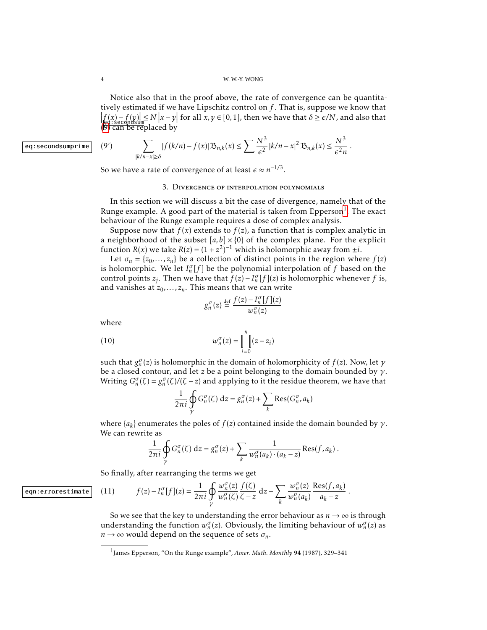Notice also that in the proof above, the rate of convergence can be quantitatively estimated if we have Lipschitz control on *f* . That is, suppose we know that  $|f(x) - f(y)| \le N |x - y|$  for all  $\overline{x}, \overline{y} \in [0, 1]$ , then we have that  $\delta \ge \epsilon/N$ , and also that  $(9)$  $(9)$  can be replaced by

eq:secondsumprime  $(9')$ 

$$
\sum_{|k/n-x|\geq \delta} |f(k/n)-f(x)| \mathfrak{B}_{n,k}(x) \leq \sum \frac{N^3}{\epsilon^2} |k/n-x|^2 \mathfrak{B}_{n,k}(x) \leq \frac{N^3}{\epsilon^2 n}.
$$

So we have a rate of convergence of at least  $\epsilon \approx n^{-1/3}$ .

### 3. Divergence of interpolation polynomials

In this section we will discuss a bit the case of divergence, namely that of the Runge example. A good part of the material is taken from Epperson $^1.$  $^1.$  $^1.$  The exact behaviour of the Runge example requires a dose of complex analysis.

Suppose now that  $f(x)$  extends to  $f(z)$ , a function that is complex analytic in a neighborhood of the subset  $[a,b] \times \{0\}$  of the complex plane. For the explicit function *R*(*x*) we take *R*(*z*) =  $(1 + z^2)^{-1}$  which is holomorphic away from  $\pm i$ .

Let  $\sigma_n = \{z_0, \ldots, z_n\}$  be a collection of distinct points in the region where  $f(z)$ is holomorphic. We let  $I_n^{\sigma}[f]$  be the polynomial interpolation of  $f$  based on the control points *z<sub>j</sub>*. Then we have that  $\hat{f}(z) - I_n^{\sigma}[f](z)$  is holomorphic whenever *f* is, and vanishes at  $z_0$ , ...,  $z_n$ . This means that we can write

$$
g_n^{\sigma}(z) \stackrel{\text{def}}{=} \frac{f(z) - I_n^{\sigma}[f](z)}{w_n^{\sigma}(z)}
$$

where

(10) 
$$
w_n^{\sigma}(z) = \prod_{i=0}^n (z - z_i)
$$

such that  $g_n^{\sigma}(z)$  is holomorphic in the domain of holomorphicity of  $f(z)$ . Now, let  $\gamma$ be a closed contour, and let *z* be a point belonging to the domain bounded by *γ*. Writing  $G_n^{\sigma}(\zeta) = g_n^{\sigma}(\zeta) / (\zeta - z)$  and applying to it the residue theorem, we have that

$$
\frac{1}{2\pi i} \oint\limits_{\gamma} G_n^{\sigma}(\zeta) dz = g_n^{\sigma}(z) + \sum_k \text{Res}(G_n^{\sigma}, a_k)
$$

where  $\{a_k\}$  enumerates the poles of  $f(z)$  contained inside the domain bounded by  $\gamma$ . We can rewrite as

$$
\frac{1}{2\pi i} \oint\limits_{\gamma} G_n^{\sigma}(\zeta) dz = g_n^{\sigma}(z) + \sum_k \frac{1}{w_n^{\sigma}(a_k) \cdot (a_k - z)} \operatorname{Res}(f, a_k) .
$$

So finally, after rearranging the terms we get

<span id="page-3-1"></span>
$$
f(z) - I_n^{\sigma}[f](z) = \frac{1}{2\pi i} \oint_{\gamma} \frac{w_n^{\sigma}(z)}{w_n^{\sigma}(\zeta)} \frac{f(\zeta)}{\zeta - z} dz - \sum_{k} \frac{w_n^{\sigma}(z)}{w_n^{\sigma}(a_k)} \frac{\text{Res}(f, a_k)}{a_k - z}.
$$

So we see that the key to understanding the error behaviour as  $n \rightarrow \infty$  is through understanding the function  $w_n^{\sigma}(z)$ . Obviously, the limiting behaviour of  $w_n^{\sigma}(z)$  as  $n \rightarrow \infty$  would depend on the sequence of sets  $\sigma_n$ .

eqn:errorestimate (11) *f* (*z*) − *I*

<span id="page-3-0"></span><sup>1</sup> James Epperson, "On the Runge example", *Amer. Math. Monthly* 94 (1987), 329–341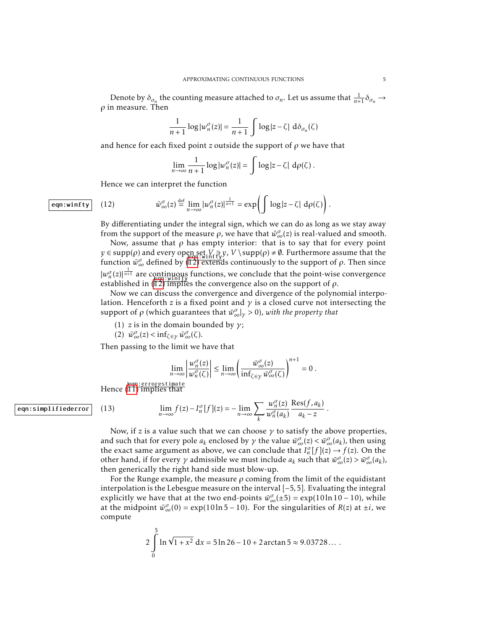Denote by  $\delta_{\sigma_n}$  the counting measure attached to  $\sigma_n$ . Let us assume that  $\frac{1}{n+1} \delta_{\sigma_n} \to$ *ρ* in measure. Then

$$
\frac{1}{n+1}\log|w_n^{\sigma}(z)| = \frac{1}{n+1}\int \log|z-\zeta| \, \mathrm{d}\delta_{\sigma_n}(\zeta)
$$

and hence for each fixed point *z* outside the support of *ρ* we have that

$$
\lim_{n\to\infty}\frac{1}{n+1}\log|w_n^{\sigma}(z)|=\int\log|z-\zeta| \ d\rho(\zeta).
$$

Hence we can interpret the function

## eqn:winfty  $(12)$

<span id="page-4-0"></span>
$$
\bar{w}^{\sigma}_{\infty}(z) \stackrel{\text{def}}{=} \lim_{n \to \infty} |w^{\sigma}_n(z)|^{\frac{1}{n+1}} = \exp\left(\int \log|z-\zeta| \, d\rho(\zeta)\right).
$$

By differentiating under the integral sign, which we can do as long as we stay away from the support of the measure  $\rho$ , we have that  $\bar{w}^{\sigma}_{\infty}(z)$  is real-valued and smooth.

Now, assume that  $\rho$  has empty interior: that is to say that for every point  $y \in \text{supp}(\rho)$  and every open set  $V \ni y$ ,  $V \supp(\rho) \neq \emptyset$ . Furthermore assume that the function  $\bar{w}_{\infty}^{\sigma}$  defined by ( $\frac{[501..711119]}{2}$  extends continuously to the support of *ρ*. Then since  $|w_n^{\sigma}(z)|^{\frac{1}{n+1}}$  are continuous functions, we conclude that the point-wise convergence established in  $(\overline{12})$  implies the convergence also on the support of  $\rho$ .

Now we can discuss the convergence and divergence of the polynomial interpolation. Henceforth *z* is a fixed point and  $\gamma$  is a closed curve not intersecting the support of  $\rho$  (which guarantees that  $\bar{w}^{\sigma}_{\infty}|_{\gamma} > 0$ ), with the property that

- (1) *z* is in the domain bounded by  $\gamma$ ;
- $(\overline{2}) \ \ \overline{w}_{\infty}^{\sigma}(z) < \inf_{\zeta \in \gamma} \overline{w}_{\infty}^{\sigma}(\zeta).$

Then passing to the limit we have that

$$
\lim_{n\to\infty}\left|\frac{w_n^{\sigma}(z)}{w_n^{\sigma}(\zeta)}\right|\leq \lim_{n\to\infty}\left(\frac{\bar{w}_\infty^{\sigma}(z)}{\inf_{\zeta\in\gamma}\bar{w}_\infty^{\sigma}(\zeta)}\right)^{n+1}=0.
$$

*.*

Hence ( eqn:errorestimate [11\)](#page-3-1) implies that

$$
\lim_{n \to \infty} f(z) - I_n^{\sigma}[f](z) = -\lim_{n \to \infty} \sum_{k} \frac{w_n^{\sigma}(z)}{w_n^{\sigma}(a_k)} \frac{\text{Res}(f, a_k)}{a_k - z}
$$

Now, if *z* is a value such that we can choose  $\gamma$  to satisfy the above properties, and such that for every pole  $a_k$  enclosed by  $\gamma$  the value  $\bar{w}^{\sigma}_{\infty}(z) < \bar{w}^{\sigma}_{\infty}(a_k)$ , then using the exact same argument as above, we can conclude that  $I_n^{\sigma}[f](z) \to f(z)$ . On the other hand, if for every  $\gamma$  admissible we must include  $a_k$  such that  $\bar{w}^{\sigma}_{\infty}(z) > \bar{w}^{\sigma}_{\infty}(a_k)$ , then generically the right hand side must blow-up.

For the Runge example, the measure *ρ* coming from the limit of the equidistant interpolation is the Lebesgue measure on the interval [−5*,*5]. Evaluating the integral explicitly we have that at the two end-points  $\bar{w}^{\sigma}_{\infty}(\pm 5) = \exp(10 \ln 10 - 10)$ , while at the midpoint  $\bar{w}^{\sigma}_{\infty}(0) = \exp(10\ln 5 - 10)$ . For the singularities of *R*(*z*) at  $\pm i$ , we compute

$$
2\int_{0}^{5} \ln \sqrt{1+x^2} \, dx = 5\ln 26 - 10 + 2\arctan 5 \approx 9.03728...
$$

#### eqn:simplifiederror (13)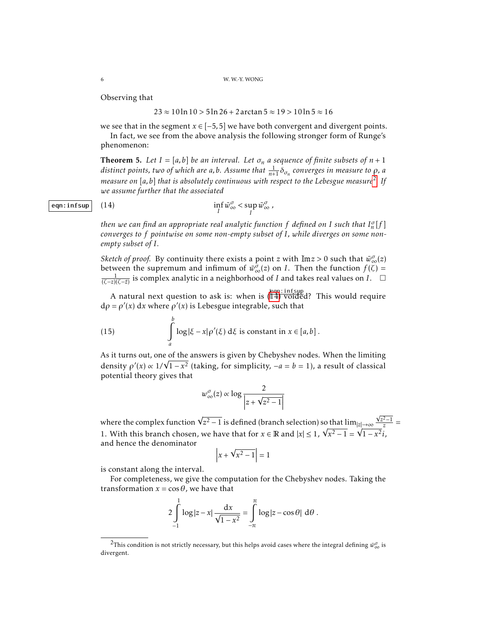Observing that

#### 23 ≈ 10 ln 10 *>* 5 ln 26 + 2arctan 5 ≈ 19 *>* 10 ln 5 ≈ 16

we see that in the segment  $x \in [-5, 5]$  we have both convergent and divergent points.

In fact, we see from the above analysis the following stronger form of Runge's phenomenon:

**Theorem 5.** Let  $I = [a, b]$  be an interval. Let  $\sigma_n$  a sequence of finite subsets of  $n + 1$ *distinct points, two of which are a,b. Assume that* <sup>1</sup> *<sup>n</sup>*+1 *δσ<sup>n</sup> converges in measure to ρ, a measure on* [*a,b*] *that is absolutely continuous with respect to the Lebesgue measure*[2](#page-5-0) *. If we assume further that the associated*

# eqn:infsup  $(14)$

<span id="page-5-1"></span>
$$
\inf_I \bar{w}^{\sigma}_{\infty} < \sup_I \bar{w}^{\sigma}_{\infty},
$$

*then we can find an appropriate real analytic function*  $f$  *defined on I such that*  $I_n^{\sigma}[f]$ *converges to f pointwise on some non-empty subset of I, while diverges on some nonempty subset of I.*

*Sketch of proof.* By continuity there exists a point *z* with  $\text{Im} z > 0$  such that  $\bar{w}_{\infty}^{\sigma}(z)$ between the supremum and infimum of  $\bar{w}^{\sigma}_{\infty}(z)$  on *I*. Then the function  $f(\zeta)$  =  $\frac{1}{(\zeta - z)(\zeta - \bar{z})}$  is complex analytic in a neighborhood of *I* and takes real values on *I*. □

A natural next question to ask is: when is  $(\parallel 4)$  voided? This would require  $d\rho = \rho'(x) dx$  where  $\rho'(x)$  is Lebesgue integrable, such that

(15) 
$$
\int_{a}^{b} \log|\xi - x| \rho'(\xi) d\xi \text{ is constant in } x \in [a, b].
$$

As it turns out, one <u>of the</u> answers is given by Chebyshev nodes. When the limiting density  $\rho'(x) \propto 1/\sqrt{1-x^2}$  (taking, for simplicity,  $-a = b = 1$ ), a result of classical potential theory gives that

$$
w_{\infty}^{\sigma}(z) \propto \log \frac{2}{\left|z + \sqrt{z^2 - 1}\right|}
$$

where the complex function  $\sqrt{z^2-1}$  is defined (branch selection) so that  $\lim_{|z|\to\infty}$  $\frac{z^2-1}{z}$  = 1. With this branch chosen, we have that for  $x \in \mathbb{R}$  and  $|x| \leq 1$ , √  $\sqrt{x^2-1}$  =  $|z|$  $\overline{1-x^2}i,$ and hence the denominator

√

$$
\left|x + \sqrt{x^2 - 1}\right| = 1
$$

is constant along the interval.

For completeness, we give the computation for the Chebyshev nodes. Taking the transformation  $x = \cos \theta$ , we have that

$$
2\int_{-1}^{1} \log|z-x| \frac{dx}{\sqrt{1-x^2}} = \int_{-\pi}^{\pi} \log|z-\cos\theta| d\theta.
$$

<span id="page-5-0"></span> $^2$ This condition is not strictly necessary, but this helps avoid cases where the integral defining  $\bar{w}^{\sigma}_{\infty}$  is divergent.